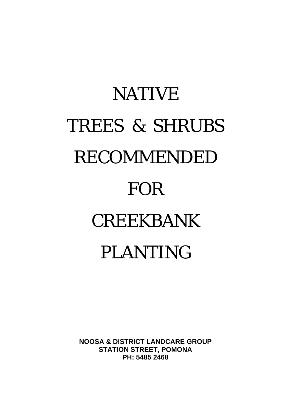# NATIVE TREES & SHRUBS RECOMMENDED FOR CREEKBANK PLANTING

**NOOSA & DISTRICT LANDCARE GROUP STATION STREET, POMONA PH: 5485 2468**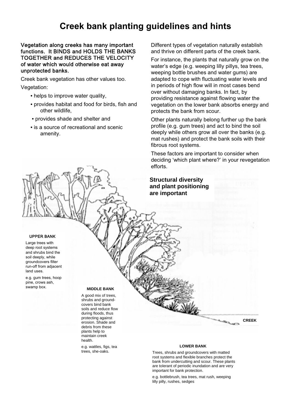# **Creek bank planting guidelines and hints**

#### Vegetation along creeks has many important functions. It BINDS and HOLDS THE BANKS TOGETHER and REDUCES THE VELOCITY of water which would otherwise eat away unprotected banks.

Creek bank vegetation has other values too. Vegetation:

- helps to improve water quality,
- provides habitat and food for birds, fish and other wildlife,
- provides shade and shelter and
- is a source of recreational and scenic amenity.

Different types of vegetation naturally establish and thrive on different parts of the creek bank.

For instance, the plants that naturally grow on the water's edge (e.g. weeping lilly pillys, tea trees, weeping bottle brushes and water gums) are adapted to cope with fluctuating water levels and in periods of high flow will in most cases bend over without damaging banks. In fact, by providing resistance against flowing water the vegetation on the lower bank absorbs energy and protects the bank from scour.

Other plants naturally belong further up the bank profile (e.g. gum trees) and act to bind the soil deeply while others grow all over the banks (e.g. mat rushes) and protect the bank soils with their fibrous root systems.

These factors are important to consider when deciding 'which plant where?' in your revegetation efforts.

## **Structural diversity and plant positioning are important**

#### UPPER BANK

Large trees with deep root systems and shrubs bind the soil deeply, while groundcovers filter run-off from adjacent land uses.

e.g. gum trees, hoop pine, crows ash,

#### swamp box. **MIDDLE BANK**

A good mix of trees, shrubs and groundcovers bind bank soils and reduce flow during floods, thus protecting against erosion. Shade and debris from these plants help to maintain creek health.

e.g. wattles, figs, tea trees, she-oaks.

#### **LOWER BANK**

**CREEK** 

Trees, shrubs and groundcovers with matted root systems and flexible branches protect the bank from undercutting and scour. These plants are tolerant of periodic inundation and are very important for bank protection.

e.g. bottlebrush, tea trees, mat rush, weeping lilly pilly, rushes, sedges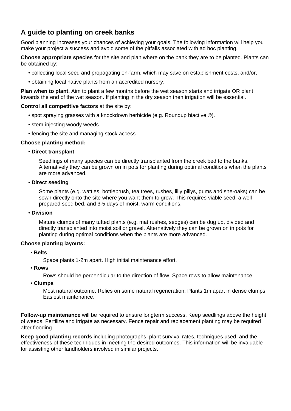# **A guide to planting on creek banks**

Good planning increases your chances of achieving your goals. The following information will help you make your project a success and avoid some of the pitfalls associated with ad hoc planting.

**Choose appropriate species** for the site and plan where on the bank they are to be planted. Plants can be obtained by:

- collecting local seed and propagating on-farm, which may save on establishment costs, and/or,
- obtaining local native plants from an accredited nursery.

**Plan when to plant.** Aim to plant a few months before the wet season starts and irrigate OR plant towards the end of the wet season. If planting in the dry season then irrigation will be essential.

## **Control all competitive factors** at the site by:

- spot spraying grasses with a knockdown herbicide (e.g. Roundup biactive ®).
- stem-injecting woody weeds.
- fencing the site and managing stock access.

#### **Choose planting method:**

#### • **Direct transplant**

Seedlings of many species can be directly transplanted from the creek bed to the banks. Alternatively they can be grown on in pots for planting during optimal conditions when the plants are more advanced.

#### • **Direct seeding**

Some plants (e.g. wattles, bottlebrush, tea trees, rushes, lilly pillys, gums and she-oaks) can be sown directly onto the site where you want them to grow. This requires viable seed, a well prepared seed bed, and 3-5 days of moist, warm conditions.

#### • **Division**

Mature clumps of many tufted plants (e.g. mat rushes, sedges) can be dug up, divided and directly transplanted into moist soil or gravel. Alternatively they can be grown on in pots for planting during optimal conditions when the plants are more advanced.

## **Choose planting layouts:**

• **Belts**

Space plants 1-2m apart. High initial maintenance effort.

• **Rows**

Rows should be perpendicular to the direction of flow. Space rows to allow maintenance.

• **Clumps**

Most natural outcome. Relies on some natural regeneration. Plants 1m apart in dense clumps. Easiest maintenance.

**Follow-up maintenance** will be required to ensure longterm success. Keep seedlings above the height of weeds. Fertilize and irrigate as necessary. Fence repair and replacement planting may be required after flooding.

**Keep good planting records** including photographs, plant survival rates, techniques used, and the effectiveness of these techniques in meeting the desired outcomes. This information will be invaluable for assisting other landholders involved in similar projects.